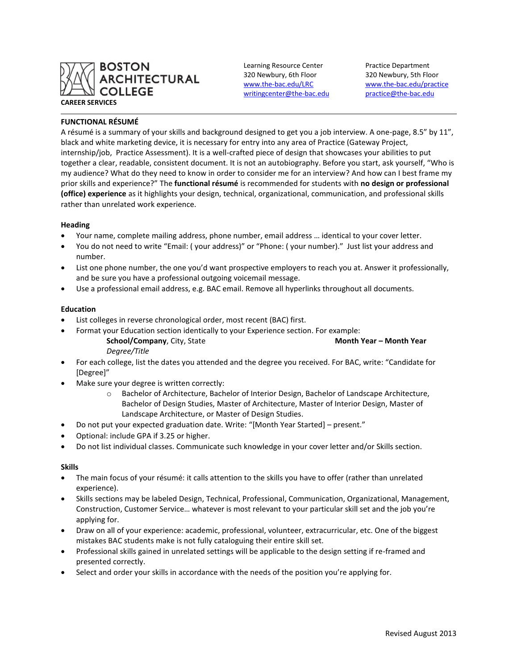

Learning Resource Center Practice Department 320 Newbury, 6th Floor 320 Newbury, 5th Floor [writingcenter@the-bac.edu](mailto:writingcenter@the-bac.edu) [practice@the-bac.edu](mailto:practice@the-bac.edu)

[www.the-bac.edu/LRC](http://www.the-bac.edu/LRC) [www.the-bac.edu/practice](http://www.the-bac.edu/practice)

# **FUNCTIONAL RÉSUMÉ**

A résumé is a summary of your skills and background designed to get you a job interview. A one-page, 8.5" by 11", black and white marketing device, it is necessary for entry into any area of Practice (Gateway Project, internship/job, Practice Assessment). It is a well-crafted piece of design that showcases your abilities to put together a clear, readable, consistent document. It is not an autobiography. Before you start, ask yourself, "Who is my audience? What do they need to know in order to consider me for an interview? And how can I best frame my prior skills and experience?" The **functional résumé** is recommended for students with **no design or professional (office) experience** as it highlights your design, technical, organizational, communication, and professional skills rather than unrelated work experience.

## **Heading**

- Your name, complete mailing address, phone number, email address … identical to your cover letter.
- You do not need to write "Email: ( your address)" or "Phone: ( your number)." Just list your address and number.
- List one phone number, the one you'd want prospective employers to reach you at. Answer it professionally, and be sure you have a professional outgoing voicemail message.
- Use a professional email address, e.g. BAC email. Remove all hyperlinks throughout all documents.

## **Education**

- List colleges in reverse chronological order, most recent (BAC) first.
	- Format your Education section identically to your Experience section. For example: **School/Company**, City, State **Month Year – Month Year**

*Degree/Title*

- For each college, list the dates you attended and the degree you received. For BAC, write: "Candidate for [Degree]"
- Make sure your degree is written correctly:
	- o Bachelor of Architecture, Bachelor of Interior Design, Bachelor of Landscape Architecture, Bachelor of Design Studies, Master of Architecture, Master of Interior Design, Master of Landscape Architecture, or Master of Design Studies.
- Do not put your expected graduation date. Write: "[Month Year Started] present."
- Optional: include GPA if 3.25 or higher.
- Do not list individual classes. Communicate such knowledge in your cover letter and/or Skills section.

## **Skills**

- The main focus of your résumé: it calls attention to the skills you have to offer (rather than unrelated experience).
- Skills sections may be labeled Design, Technical, Professional, Communication, Organizational, Management, Construction, Customer Service… whatever is most relevant to your particular skill set and the job you're applying for.
- Draw on all of your experience: academic, professional, volunteer, extracurricular, etc. One of the biggest mistakes BAC students make is not fully cataloguing their entire skill set.
- Professional skills gained in unrelated settings will be applicable to the design setting if re-framed and presented correctly.
- Select and order your skills in accordance with the needs of the position you're applying for.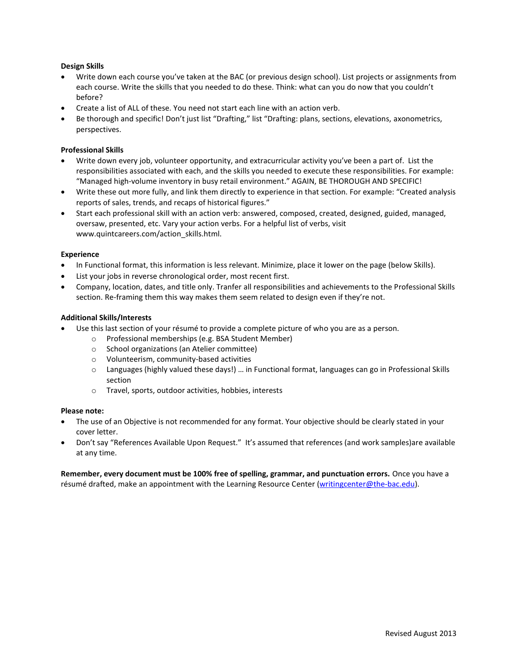# **Design Skills**

- Write down each course you've taken at the BAC (or previous design school). List projects or assignments from each course. Write the skills that you needed to do these. Think: what can you do now that you couldn't before?
- Create a list of ALL of these. You need not start each line with an action verb.
- Be thorough and specific! Don't just list "Drafting," list "Drafting: plans, sections, elevations, axonometrics, perspectives.

## **Professional Skills**

- Write down every job, volunteer opportunity, and extracurricular activity you've been a part of. List the responsibilities associated with each, and the skills you needed to execute these responsibilities. For example: "Managed high-volume inventory in busy retail environment." AGAIN, BE THOROUGH AND SPECIFIC!
- Write these out more fully, and link them directly to experience in that section. For example: "Created analysis reports of sales, trends, and recaps of historical figures."
- Start each professional skill with an action verb: answered, composed, created, designed, guided, managed, oversaw, presented, etc. Vary your action verbs. For a helpful list of verbs, visit www.quintcareers.com/action\_skills.html.

## **Experience**

- In Functional format, this information is less relevant. Minimize, place it lower on the page (below Skills).
- List your jobs in reverse chronological order, most recent first.
- Company, location, dates, and title only. Tranfer all responsibilities and achievements to the Professional Skills section. Re-framing them this way makes them seem related to design even if they're not.

## **Additional Skills/Interests**

- Use this last section of your résumé to provide a complete picture of who you are as a person.
	- o Professional memberships (e.g. BSA Student Member)
	- o School organizations (an Atelier committee)
	- o Volunteerism, community-based activities
	- o Languages (highly valued these days!) … in Functional format, languages can go in Professional Skills section
	- o Travel, sports, outdoor activities, hobbies, interests

## **Please note:**

- The use of an Objective is not recommended for any format. Your objective should be clearly stated in your cover letter.
- Don't say "References Available Upon Request." It's assumed that references (and work samples)are available at any time.

**Remember, every document must be 100% free of spelling, grammar, and punctuation errors.** Once you have a résumé drafted, make an appointment with the Learning Resource Center [\(writingcenter@the-bac.edu\)](mailto:writingcenter@the-bac.edu).